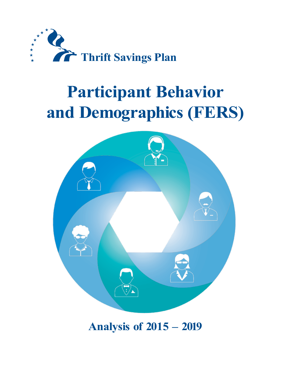

# **Participant Behavior and Demographics (FERS)**



## **Analysis of 2015 – 2019**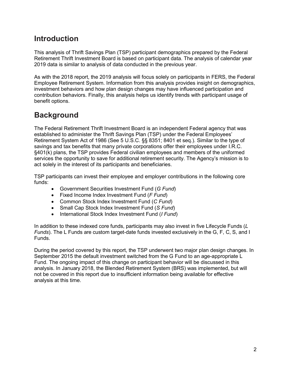### **Introduction**

This analysis of Thrift Savings Plan (TSP) participant demographics prepared by the Federal Retirement Thrift Investment Board is based on participant data. The analysis of calendar year 2019 data is similar to analysis of data conducted in the previous year.

As with the 2018 report, the 2019 analysis will focus solely on participants in FERS, the Federal Employee Retirement System. Information from this analysis provides insight on demographics, investment behaviors and how plan design changes may have influenced participation and contribution behaviors. Finally, this analysis helps us identify trends with participant usage of benefit options.

## **Background**

The Federal Retirement Thrift Investment Board is an independent Federal agency that was established to administer the Thrift Savings Plan (TSP) under the Federal Employees' Retirement System Act of 1986 (See 5 U.S.C. §§ 8351; 8401 et seq.). Similar to the type of savings and tax benefits that many private corporations offer their employees under I.R.C. §401(k) plans, the TSP provides Federal civilian employees and members of the uniformed services the opportunity to save for additional retirement security. The Agency's mission is to act solely in the interest of its participants and beneficiaries.

TSP participants can invest their employee and employer contributions in the following core funds:

- Government Securities Investment Fund (*G Fund*)
- Fixed Income Index Investment Fund (*F Fund*)
- Common Stock Index Investment Fund (*C Fund*)
- Small Cap Stock Index Investment Fund (*S Fund*)
- International Stock Index Investment Fund (*I Fund*)

In addition to these indexed core funds, participants may also invest in five Lifecycle Funds (*L Funds*). The L Funds are custom target-date funds invested exclusively in the G, F, C, S, and I Funds.

During the period covered by this report, the TSP underwent two major plan design changes. In September 2015 the default investment switched from the G Fund to an age-appropriate L Fund. The ongoing impact of this change on participant behavior will be discussed in this analysis. In January 2018, the Blended Retirement System (BRS) was implemented, but will not be covered in this report due to insufficient information being available for effective analysis at this time.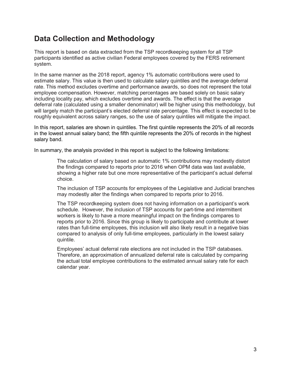## **Data Collection and Methodology**

This report is based on data extracted from the TSP recordkeeping system for all TSP participants identified as active civilian Federal employees covered by the FERS retirement system.

In the same manner as the 2018 report, agency 1% automatic contributions were used to estimate salary. This value is then used to calculate salary quintiles and the average deferral rate. This method excludes overtime and performance awards, so does not represent the total employee compensation. However, matching percentages are based solely on basic salary including locality pay, which excludes overtime and awards. The effect is that the average deferral rate (calculated using a smaller denominator) will be higher using this methodology, but will largely match the participant's elected deferral rate percentage. This effect is expected to be roughly equivalent across salary ranges, so the use of salary quintiles will mitigate the impact.

In this report, salaries are shown in quintiles. The first quintile represents the 20% of all records in the lowest annual salary band; the fifth quintile represents the 20% of records in the highest salary band.

In summary, the analysis provided in this report is subject to the following limitations:

The calculation of salary based on automatic 1% contributions may modestly distort the findings compared to reports prior to 2016 when OPM data was last available, showing a higher rate but one more representative of the participant's actual deferral choice.

The inclusion of TSP accounts for employees of the Legislative and Judicial branches may modestly alter the findings when compared to reports prior to 2016.

The TSP recordkeeping system does not having information on a participant's work schedule. However, the inclusion of TSP accounts for part-time and intermittent workers is likely to have a more meaningful impact on the findings compares to reports prior to 2016. Since this group is likely to participate and contribute at lower rates than full-time employees, this inclusion will also likely result in a negative bias compared to analysis of only full-time employees, particularly in the lowest salary quintile.

Employees' actual deferral rate elections are not included in the TSP databases. Therefore, an approximation of annualized deferral rate is calculated by comparing the actual total employee contributions to the estimated annual salary rate for each calendar year.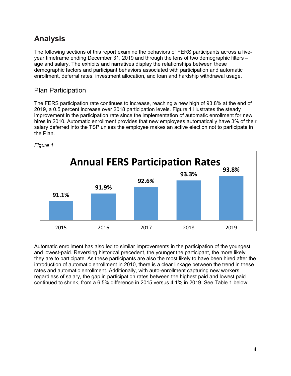## **Analysis**

The following sections of this report examine the behaviors of FERS participants across a fiveyear timeframe ending December 31, 2019 and through the lens of two demographic filters – age and salary. The exhibits and narratives display the relationships between these demographic factors and participant behaviors associated with participation and automatic enrollment, deferral rates, investment allocation, and loan and hardship withdrawal usage.

#### Plan Participation

The FERS participation rate continues to increase, reaching a new high of 93.8% at the end of 2019, a 0.5 percent increase over 2018 participation levels. Figure 1 illustrates the steady improvement in the participation rate since the implementation of automatic enrollment for new hires in 2010. Automatic enrollment provides that new employees automatically have 3% of their salary deferred into the TSP unless the employee makes an active election not to participate in the Plan.



*Figure 1*

Automatic enrollment has also led to similar improvements in the participation of the youngest and lowest-paid. Reversing historical precedent, the younger the participant, the more likely they are to participate. As these participants are also the most likely to have been hired after the introduction of automatic enrollment in 2010, there is a clear linkage between the trend in these rates and automatic enrollment. Additionally, with auto-enrollment capturing new workers regardless of salary, the gap in participation rates between the highest paid and lowest paid continued to shrink, from a 6.5% difference in 2015 versus 4.1% in 2019. See Table 1 below: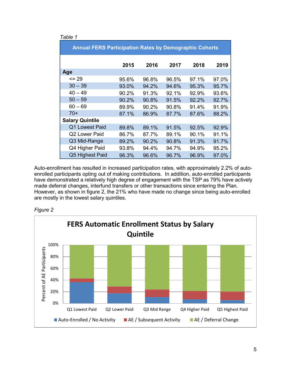| Table 1                                                       |       |       |       |       |       |  |  |  |
|---------------------------------------------------------------|-------|-------|-------|-------|-------|--|--|--|
| <b>Annual FERS Participation Rates by Demographic Cohorts</b> |       |       |       |       |       |  |  |  |
|                                                               | 2015  | 2016  | 2017  | 2018  | 2019  |  |  |  |
| Age                                                           |       |       |       |       |       |  |  |  |
| $= 29$                                                        | 95.6% | 96.8% | 96.5% | 97.1% | 97.0% |  |  |  |
| $30 - 39$                                                     | 93.0% | 94.2% | 94.6% | 95.3% | 95.7% |  |  |  |
| $40 - 49$                                                     | 90.2% | 91.3% | 92.1% | 92.9% | 93.6% |  |  |  |
| $50 - 59$                                                     | 90.2% | 90.8% | 91.5% | 92.2% | 92.7% |  |  |  |
| $60 - 69$                                                     | 89.9% | 90.2% | 90.8% | 91.4% | 91.9% |  |  |  |
| $70+$                                                         | 87.1% | 86.9% | 87.7% | 87.6% | 88.2% |  |  |  |
| <b>Salary Quintile</b>                                        |       |       |       |       |       |  |  |  |
| Q1 Lowest Paid                                                | 89.8% | 89.1% | 91.5% | 92.5% | 92.9% |  |  |  |
| Q2 Lower Paid                                                 | 86.7% | 87.7% | 89.1% | 90.1% | 91.1% |  |  |  |
| Q3 Mid-Range                                                  | 89.2% | 90.2% | 90.8% | 91.3% | 91.7% |  |  |  |
| Q4 Higher Paid                                                | 93.8% | 94.4% | 94.7% | 94.9% | 95.2% |  |  |  |
| Q5 Highest Paid                                               | 96.3% | 96.6% | 96.7% | 96.9% | 97.0% |  |  |  |

Auto-enrollment has resulted in increased participation rates, with approximately 2.2% of autoenrolled participants opting out of making contributions. In addition, auto-enrolled participants have demonstrated a relatively high degree of engagement with the TSP as 79% have actively made deferral changes, interfund transfers or other transactions since entering the Plan. However, as shown in figure 2, the 21% who have made no change since being auto-enrolled are mostly in the lowest salary quintiles.



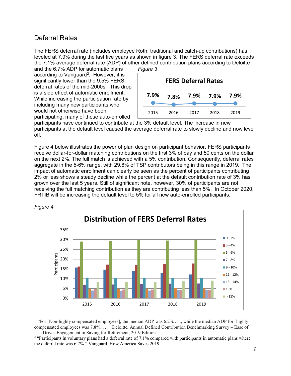#### Deferral Rates

The FERS deferral rate (includes employee Roth, traditional and catch-up contributions) has leveled at 7.9% during the last five years as shown in figure 3. The FERS deferral rate exceeds the 7.[1](#page-5-0)% average deferral rate (ADP) of other defined contribution plans according to Deloitte<sup>1</sup>

and the 6.7% ADP for automatic plans according to Vanguard<sup>[2](#page-5-1)</sup>. However, it is significantly lower than the 9.5% FERS deferral rates of the mid-2000s. This drop is a side effect of automatic enrollment. While increasing the participation rate by including many new participants who would not otherwise have been participating, many of these auto-enrolled



participants have continued to contribute at the 3% default level. The increase in new participants at the default level caused the average deferral rate to slowly decline and now level off*.* 

Figure 4 below illustrates the power of plan design on participant behavior. FERS participants receive dollar-for-dollar matching contributions on the first 3% of pay and 50 cents on the dollar on the next 2%. The full match is achieved with a 5% contribution. Consequently, deferral rates aggregate in the 5-6% range, with 29.8% of TSP contributors being in this range in 2019. The impact of automatic enrollment can clearly be seen as the percent of participants contributing 2% or less shows a steady decline while the percent at the default contribution rate of 3% has grown over the last 5 years. Still of significant note, however, 30% of participants are not receiving the full matching contribution as they are contributing less than 5%. In October 2020, FRTIB will be increasing the default level to 5% for all new auto-enrolled participants.





<span id="page-5-0"></span><sup>&</sup>lt;sup>1</sup> "For [Non-highly compensated employees], the median ADP was  $6.2\%$  . . ., while the median ADP for [highly compensated employees was 7.8%. . . ." Deloitte, Annual Defined Contribution Benchmarking Survey – Ease of Use Drives Engagement in Saving for Retirement, 2019 Edition.

<span id="page-5-1"></span><sup>&</sup>lt;sup>2</sup> "Participants in voluntary plans had a deferral rate of 7.1% compared with participants in automatic plans where the deferral rate was 6.7%." Vanguard, How America Saves 2019.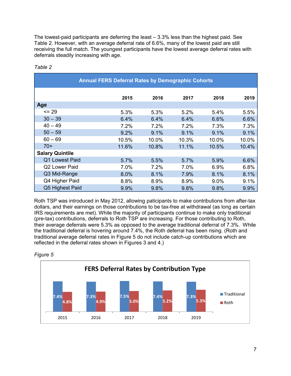The lowest-paid participants are deferring the least – 3.3% less than the highest paid. See Table 2. However, with an average deferral rate of 6.6%, many of the lowest paid are still receiving the full match. The youngest participants have the lowest average deferral rates with deferrals steadily increasing with age.

| <b>Annual FERS Deferral Rates by Demographic Cohorts</b> |       |       |       |       |       |  |  |  |
|----------------------------------------------------------|-------|-------|-------|-------|-------|--|--|--|
|                                                          | 2015  | 2016  | 2017  | 2018  | 2019  |  |  |  |
| Age                                                      |       |       |       |       |       |  |  |  |
| $= 29$                                                   | 5.3%  | 5.3%  | 5.2%  | 5.4%  | 5.5%  |  |  |  |
| $30 - 39$                                                | 6.4%  | 6.4%  | 6.4%  | 6.6%  | 6.6%  |  |  |  |
| $40 - 49$                                                | 7.2%  | 7.2%  | 7.2%  | 7.3%  | 7.3%  |  |  |  |
| $50 - 59$                                                | 9.2%  | 9.1%  | 9.1%  | 9.1%  | 9.1%  |  |  |  |
| $60 - 69$                                                | 10.5% | 10.0% | 10.3% | 10.0% | 10.0% |  |  |  |
| $70+$                                                    | 11.6% | 10.8% | 11.1% | 10.5% | 10.4% |  |  |  |
| <b>Salary Quintile</b>                                   |       |       |       |       |       |  |  |  |
| Q1 Lowest Paid                                           | 5.7%  | 5.5%  | 5.7%  | 5.9%  | 6.6%  |  |  |  |
| Q2 Lower Paid                                            | 7.0%  | 7.2%  | 7.0%  | 6.9%  | 6.8%  |  |  |  |
| Q3 Mid-Range                                             | 8.0%  | 8.1%  | 7.9%  | 8.1%  | 8.1%  |  |  |  |
| Q4 Higher Paid                                           | 8.8%  | 8.9%  | 8.9%  | 9.0%  | 9.1%  |  |  |  |
| Q5 Highest Paid                                          | 9.9%  | 9.8%  | 9.8%  | 9.8%  | 9.9%  |  |  |  |

#### *Table 2*

Roth TSP was introduced in May 2012, allowing paticipants to make contributions from after-tax dollars, and their earnings on those contributions to be tax-free at withdrawal (as long as certain IRS requirements are met). While the majority of participants continue to make only traditional (pre-tax) contributions, deferrals to Roth TSP are increasing. For those contributing to Roth, their average deferrals were 5.3% as opposed to the average traditional deferral of 7.3%. While the traditional deferral is hovering around 7.4%, the Roth deferral has been rising. (Roth and traditional average deferral rates in Figure 5 do not include catch-up contributions which are reflected in the deferral rates shown in Figures 3 and 4.)



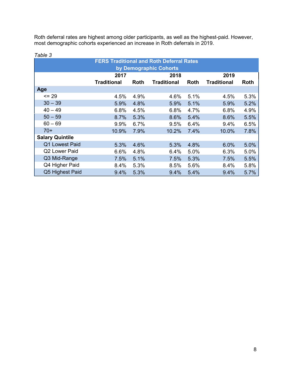Roth deferral rates are highest among older participants, as well as the highest-paid. However, most demographic cohorts experienced an increase in Roth deferrals in 2019.

| , uwio o<br><b>FERS Traditional and Roth Deferral Rates</b><br>by Demographic Cohorts |                    |      |                    |             |                    |      |  |
|---------------------------------------------------------------------------------------|--------------------|------|--------------------|-------------|--------------------|------|--|
|                                                                                       | 2017               |      | 2018               |             | 2019               |      |  |
|                                                                                       | <b>Traditional</b> | Roth | <b>Traditional</b> | <b>Roth</b> | <b>Traditional</b> | Roth |  |
| Age                                                                                   |                    |      |                    |             |                    |      |  |
| $\leq$ 29                                                                             | 4.5%               | 4.9% | 4.6%               | 5.1%        | 4.5%               | 5.3% |  |
| $30 - 39$                                                                             | 5.9%               | 4.8% | 5.9%               | 5.1%        | 5.9%               | 5.2% |  |
| $40 - 49$                                                                             | 6.8%               | 4.5% | 6.8%               | 4.7%        | 6.8%               | 4.9% |  |
| $50 - 59$                                                                             | 8.7%               | 5.3% | 8.6%               | 5.4%        | 8.6%               | 5.5% |  |
| $60 - 69$                                                                             | 9.9%               | 6.7% | 9.5%               | 6.4%        | 9.4%               | 6.5% |  |
| $70+$                                                                                 | 10.9%              | 7.9% | 10.2%              | 7.4%        | 10.0%              | 7.8% |  |
| <b>Salary Quintile</b>                                                                |                    |      |                    |             |                    |      |  |
| Q1 Lowest Paid                                                                        | 5.3%               | 4.6% | 5.3%               | 4.8%        | 6.0%               | 5.0% |  |
| Q2 Lower Paid                                                                         | 6.6%               | 4.8% | 6.4%               | 5.0%        | 6.3%               | 5.0% |  |
| Q3 Mid-Range                                                                          | 7.5%               | 5.1% | 7.5%               | 5.3%        | 7.5%               | 5.5% |  |
| Q4 Higher Paid                                                                        | 8.4%               | 5.3% | 8.5%               | 5.6%        | 8.4%               | 5.8% |  |
| Q5 Highest Paid                                                                       | 9.4%               | 5.3% | 9.4%               | 5.4%        | 9.4%               | 5.7% |  |

#### *Table 3*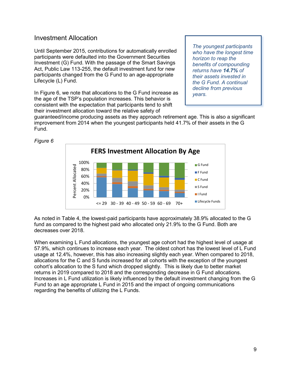#### Investment Allocation

Until September 2015, contributions for automatically enrolled participants were defaulted into the Government Securities Investment (G) Fund. With the passage of the Smart Savings Act, Public Law 113-255, the default investment fund for new participants changed from the G Fund to an age-appropriate Lifecycle (L) Fund.

In Figure 6, we note that allocations to the G Fund increase as the age of the TSP's population increases. This behavior is consistent with the expectation that participants tend to shift their investment allocation toward the relative safety of

*The youngest participants who have the longest time horizon to reap the benefits of compounding returns have 14.7% of their assets invested in the G Fund. A continual decline from previous years.*

guaranteed/income producing assets as they approach retirement age. This is also a significant improvement from 2014 when the youngest participants held 41.7% of their assets in the G Fund.



*Figure 6*

As noted in Table 4, the lowest-paid participants have approximately 38.9% allocated to the G fund as compared to the highest paid who allocated only 21.9% to the G Fund. Both are decreases over 2018.

When examining L Fund allocations, the youngest age cohort had the highest level of usage at 57.9%, which continues to increase each year. The oldest cohort has the lowest level of L Fund usage at 12.4%, however, this has also increasing slightly each year. When compared to 2018, allocations for the C and S funds increased for all cohorts with the exception of the youngest cohort's allocation to the S fund which dropped slightly. This is likely due to better market returns in 2019 compared to 2018 and the corresponding decrease in G Fund allocations. Increases in L Fund utilization is likely influenced by the default investment changing from the G Fund to an age appropriate L Fund in 2015 and the impact of ongoing communications regarding the benefits of utilizing the L Funds.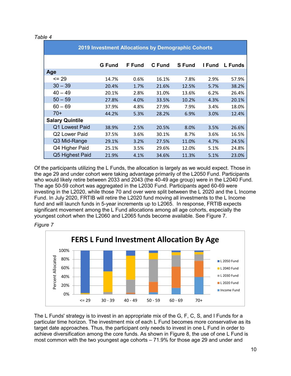| 2019 Investment Allocations by Demographic Cohorts |               |               |        |               |        |                |  |
|----------------------------------------------------|---------------|---------------|--------|---------------|--------|----------------|--|
|                                                    | <b>G</b> Fund | <b>F</b> Fund | C Fund | <b>S</b> Fund | I Fund | <b>L</b> Funds |  |
| Age                                                |               |               |        |               |        |                |  |
| $= 29$                                             | 14.7%         | 0.6%          | 16.1%  | 7.8%          | 2.9%   | 57.9%          |  |
| $30 - 39$                                          | 20.4%         | 1.7%          | 21.6%  | 12.5%         | 5.7%   | 38.2%          |  |
| $40 - 49$                                          | 20.1%         | 2.8%          | 31.0%  | 13.6%         | 6.2%   | 26.4%          |  |
| $50 - 59$                                          | 27.8%         | 4.0%          | 33.5%  | 10.2%         | 4.3%   | 20.1%          |  |
| $60 - 69$                                          | 37.9%         | 4.8%          | 27.9%  | 7.9%          | 3.4%   | 18.0%          |  |
| $70+$                                              | 44.2%         | 5.3%          | 28.2%  | 6.9%          | 3.0%   | 12.4%          |  |
| <b>Salary Quintile</b>                             |               |               |        |               |        |                |  |
| Q1 Lowest Paid                                     | 38.9%         | 2.5%          | 20.5%  | 8.0%          | 3.5%   | 26.6%          |  |
| Q2 Lower Paid                                      | 37.5%         | 3.6%          | 30.1%  | 8.7%          | 3.6%   | 16.5%          |  |
| Q3 Mid-Range                                       | 29.1%         | 3.2%          | 27.5%  | 11.0%         | 4.7%   | 24.5%          |  |
| Q4 Higher Paid                                     | 25.1%         | 3.5%          | 29.6%  | 12.0%         | 5.1%   | 24.8%          |  |
| Q5 Highest Paid                                    | 21.9%         | 4.1%          | 34.6%  | 11.3%         | 5.1%   | 23.0%          |  |

Of the participants utilizing the L Funds, the allocation is largely as we would expect. Those in the age 29 and under cohort were taking advantage primarily of the L2050 Fund. Participants who would likely retire between 2033 and 2043 (the 40-49 age group) were in the L2040 Fund. The age 50-59 cohort was aggregated in the L2030 Fund. Participants aged 60-69 were investing in the L2020, while those 70 and over were split between the L 2020 and the L Income Fund. In July 2020, FRTIB will retire the L2020 fund moving all investments to the L Income fund and will launch funds in 5-year increments up to L2065. In response, FRTIB expects significant movement among the L Fund allocations among all age cohorts, especially the youngest cohort when the L2060 and L2065 funds become available. See Figure 7.





The L Funds' strategy is to invest in an appropriate mix of the G, F, C, S, and I Funds for a particular time horizon. The investment mix of each L Fund becomes more conservative as its target date approaches. Thus, the participant only needs to invest in one L Fund in order to achieve diversification among the core funds. As shown in Figure 8, the use of one L Fund is most common with the two youngest age cohorts – 71.9% for those age 29 and under and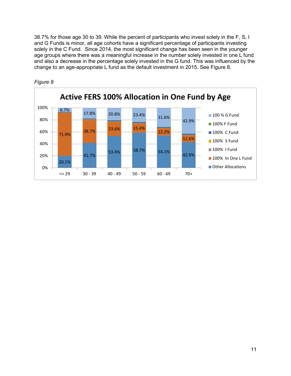38.7% for those age 30 to 39. While the percent of participants who invest solely in the F, S, I and G Funds is minor, all age cohorts have a significant percentage of participants investing solely in the C Fund. Since 2014, the most significant change has been seen in the younger age groups where there was a meaningful increase in the number solely invested in one L fund and also a decrease in the percentage solely invested in the G fund. This was influenced by the change to an age-appropriate L fund as the default investment in 2015. See Figure 8.



*Figure 8*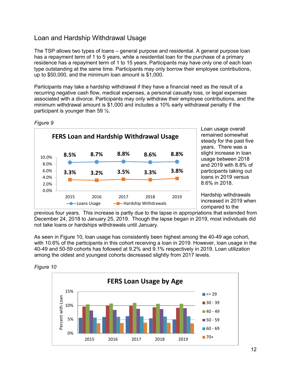#### Loan and Hardship Withdrawal Usage

The TSP allows two types of loans – general purpose and residential. A general purpose loan has a repayment term of 1 to 5 years, while a residential loan for the purchase of a primary residence has a repayment term of 1 to 15 years. Participants may have only one of each loan type outstanding at the same time. Participants may only borrow their employee contributions, up to \$50,000, and the minimum loan amount is \$1,000.

Participants may take a hardship withdrawal if they have a financial need as the result of a recurring negative cash flow, medical expenses, a personal casualty loss, or legal expenses associated with a divorce. Participants may only withdraw their employee contributions, and the minimum withdrawal amount is \$1,000 and includes a 10% early withdrawal penalty if the participant is younger than 59 ½.



*Figure 9* 

Loan usage overall remained somewhat steady for the past five years. There was a slight increase in loan usage between 2018 and 2019 with 8.8% of participants taking out loans in 2019 versus 8.6% in 2018.

Hardship withdrawals increased in 2019 when compared to the

previous four years. This increase is partly due to the lapse in appropriations that extended from December 24, 2018 to January 25, 2019. Though the lapse began in 2019, most individuals did not take loans or hardships withdrawals until January.

As seen in Figure 10, loan usage has consistently been highest among the 40-49 age cohort, with 10.6% of the participants in this cohort receiving a loan in 2019. However, loan usage in the 40-49 and 50-59 cohorts has followed at 9.2% and 9.1% respectively in 2019. Loan utilization among the oldest and youngest cohorts decreased slightly from 2017 levels.



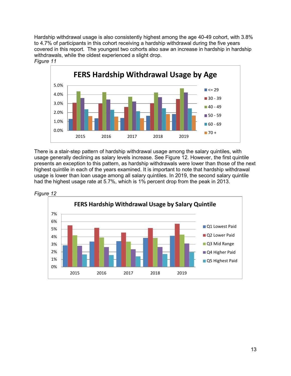Hardship withdrawal usage is also consistently highest among the age 40-49 cohort, with 3.8% to 4.7% of participants in this cohort receiving a hardship withdrawal during the five years covered in this report. The youngest two cohorts also saw an increase in hardship in hardship withdrawals, while the oldest experienced a slight drop. *Figure 11*



There is a stair-step pattern of hardship withdrawal usage among the salary quintiles, with usage generally declining as salary levels increase. See Figure 12. However, the first quintile presents an exception to this pattern, as hardship withdrawals were lower than those of the next highest quintile in each of the years examined. It is important to note that hardship withdrawal usage is lower than loan usage among all salary quintiles. In 2019, the second salary quintile had the highest usage rate at 5.7%, which is 1% percent drop from the peak in 2013.



*Figure 12*